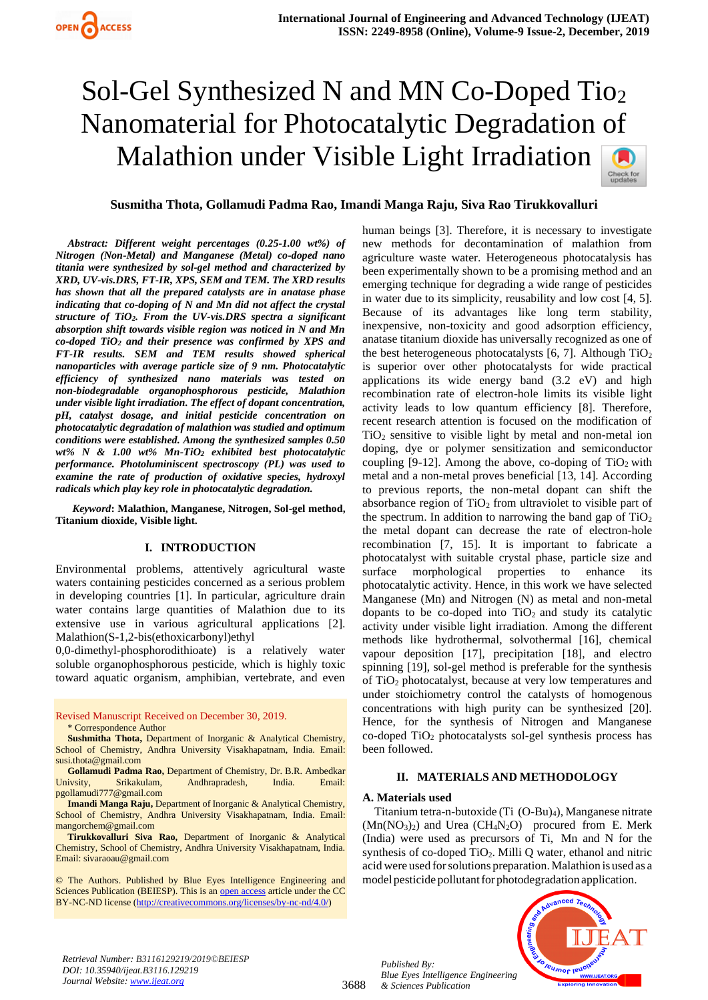# Sol-Gel Synthesized N and MN Co-Doped Tio<sup>2</sup> Nanomaterial for Photocatalytic Degradation of Malathion under Visible Light Irradiation



*Abstract: Different weight percentages (0.25-1.00 wt%) of Nitrogen (Non-Metal) and Manganese (Metal) co-doped nano titania were synthesized by sol-gel method and characterized by XRD, UV-vis.DRS, FT-IR, XPS, SEM and TEM. The XRD results has shown that all the prepared catalysts are in anatase phase indicating that co-doping of N and Mn did not affect the crystal structure of TiO2. From the UV-vis.DRS spectra a significant absorption shift towards visible region was noticed in N and Mn co-doped TiO<sup>2</sup> and their presence was confirmed by XPS and FT-IR results. SEM and TEM results showed spherical nanoparticles with average particle size of 9 nm. Photocatalytic efficiency of synthesized nano materials was tested on non-biodegradable organophosphorous pesticide, Malathion under visible light irradiation. The effect of dopant concentration, pH, catalyst dosage, and initial pesticide concentration on photocatalytic degradation of malathion was studied and optimum conditions were established. Among the synthesized samples 0.50 wt% N & 1.00 wt% Mn-TiO<sup>2</sup> exhibited best photocatalytic performance. Photoluminiscent spectroscopy (PL) was used to examine the rate of production of oxidative species, hydroxyl radicals which play key role in photocatalytic degradation.*

*Keyword***: Malathion, Manganese, Nitrogen, Sol-gel method, Titanium dioxide, Visible light.**

## **I. INTRODUCTION**

Environmental problems, attentively agricultural waste waters containing pesticides concerned as a serious problem in developing countries [1]. In particular, agriculture drain water contains large quantities of Malathion due to its extensive use in various agricultural applications [2]. Malathion(S-1,2-bis(ethoxicarbonyl)ethyl

0,0-dimethyl-phosphorodithioate) is a relatively water soluble organophosphorous pesticide, which is highly toxic toward aquatic organism, amphibian, vertebrate, and even

Revised Manuscript Received on December 30, 2019. \* Correspondence Author

**Sushmitha Thota,** Department of Inorganic & Analytical Chemistry, School of Chemistry, Andhra University Visakhapatnam, India. Email: susi.thota@gmail.com

**Gollamudi Padma Rao,** Department of Chemistry, Dr. B.R. Ambedkar Univsity, Srikakulam, Andhrapradesh, India. Email: pgollamudi777@gmail.com

**Imandi Manga Raju,** Department of Inorganic & Analytical Chemistry, School of Chemistry, Andhra University Visakhapatnam, India. Email: mangorchem@gmail.com

**Tirukkovalluri Siva Rao,** Department of Inorganic & Analytical Chemistry, School of Chemistry, Andhra University Visakhapatnam, India. Email: sivaraoau@gmail.com

© The Authors. Published by Blue Eyes Intelligence Engineering and Sciences Publication (BEIESP). This is a[n open access](https://www.openaccess.nl/en/open-publications) article under the CC BY-NC-ND license [\(http://creativecommons.org/licenses/by-nc-nd/4.0/\)](http://creativecommons.org/licenses/by-nc-nd/4.0/)

human beings [3]. Therefore, it is necessary to investigate new methods for decontamination of malathion from agriculture waste water. Heterogeneous photocatalysis has been experimentally shown to be a promising method and an emerging technique for degrading a wide range of pesticides in water due to its simplicity, reusability and low cost [4, 5]. Because of its advantages like long term stability, inexpensive, non-toxicity and good adsorption efficiency, anatase titanium dioxide has universally recognized as one of the best heterogeneous photocatalysts  $[6, 7]$ . Although  $TiO<sub>2</sub>$ is superior over other photocatalysts for wide practical applications its wide energy band (3.2 eV) and high recombination rate of electron-hole limits its visible light activity leads to low quantum efficiency [8]. Therefore, recent research attention is focused on the modification of TiO<sup>2</sup> sensitive to visible light by metal and non-metal ion doping, dye or polymer sensitization and semiconductor coupling [9-12]. Among the above, co-doping of  $TiO<sub>2</sub>$  with metal and a non-metal proves beneficial [13, 14]. According to previous reports, the non-metal dopant can shift the absorbance region of  $TiO<sub>2</sub>$  from ultraviolet to visible part of the spectrum. In addition to narrowing the band gap of  $TiO<sub>2</sub>$ the metal dopant can decrease the rate of electron-hole recombination [7, 15]. It is important to fabricate a photocatalyst with suitable crystal phase, particle size and surface morphological properties to enhance its photocatalytic activity. Hence, in this work we have selected Manganese (Mn) and Nitrogen (N) as metal and non-metal dopants to be co-doped into  $TiO<sub>2</sub>$  and study its catalytic activity under visible light irradiation. Among the different methods like hydrothermal, solvothermal [16], chemical vapour deposition [17], precipitation [18], and electro spinning [19], sol-gel method is preferable for the synthesis of TiO<sup>2</sup> photocatalyst, because at very low temperatures and under stoichiometry control the catalysts of homogenous concentrations with high purity can be synthesized [20]. Hence, for the synthesis of Nitrogen and Manganese co-doped TiO<sup>2</sup> photocatalysts sol-gel synthesis process has been followed.

# **II. MATERIALS AND METHODOLOGY**

## **A. Materials used**

Titanium tetra-n-butoxide (Ti (O-Bu)4), Manganese nitrate  $(Mn(NO<sub>3</sub>)<sub>2</sub>)$  and Urea  $(CH<sub>4</sub>N<sub>2</sub>O)$  procured from E. Merk (India) were used as precursors of Ti, Mn and N for the synthesis of co-doped  $TiO<sub>2</sub>$ . Milli Q water, ethanol and nitric acid were used for solutions preparation. Malathion is used as a model pesticide pollutant for photodegradation application.



*Retrieval Number: B3116129219/2019©BEIESP DOI: 10.35940/ijeat.B3116.129219 Journal Website[: www.ijeat.org](http://www.ijeat.org/)*

3688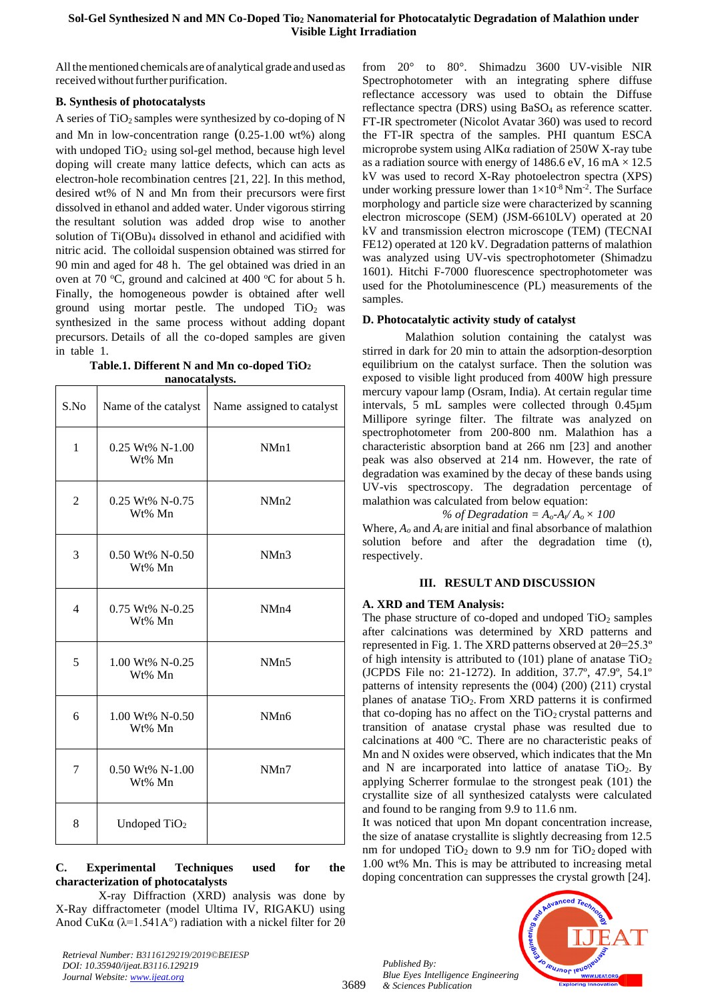All the mentioned chemicals are of analytical grade and used as received without further purification.

# **B. Synthesis of photocatalysts**

A series of  $TiO<sub>2</sub>$  samples were synthesized by co-doping of N and Mn in low-concentration range (0.25-1.00 wt%) along with undoped  $TiO<sub>2</sub>$  using sol-gel method, because high level doping will create many lattice defects, which can acts as electron-hole recombination centres [21, 22]. In this method, desired wt% of N and Mn from their precursors were first dissolved in ethanol and added water. Under vigorous stirring the resultant solution was added drop wise to another solution of Ti(OBu)<sub>4</sub> dissolved in ethanol and acidified with nitric acid. The colloidal suspension obtained was stirred for 90 min and aged for 48 h. The gel obtained was dried in an oven at 70  $\degree$ C, ground and calcined at 400  $\degree$ C for about 5 h. Finally, the homogeneous powder is obtained after well ground using mortar pestle. The undoped  $TiO<sub>2</sub>$  was synthesized in the same process without adding dopant precursors. Details of all the co-doped samples are given in table 1.

**Table.1. Different N and Mn co-doped TiO<sup>2</sup> nanocatalysts.**

| S.No           | Name of the catalyst         | Name assigned to catalyst |
|----------------|------------------------------|---------------------------|
| $\mathbf{1}$   | $0.25$ Wt% N-1.00<br>Wt% Mn  | NMn1                      |
| $\overline{2}$ | $0.25$ Wt% N-0.75<br>Wt% Mn  | NMn2                      |
| 3              | 0.50 Wt% N-0.50<br>Wt% Mn    | NMn3                      |
| $\overline{4}$ | 0.75 Wt% N-0.25<br>Wt% Mn    | NM <sub>n4</sub>          |
| 5              | 1.00 Wt% N-0.25<br>Wt% Mn    | NMn5                      |
| 6              | 1.00 Wt% N-0.50<br>Wt% Mn    | NM <sub>n6</sub>          |
| 7              | $0.50 Wt\% N-1.00$<br>Wt% Mn | NMn7                      |
| 8              | Undoped TiO <sub>2</sub>     |                           |

# **C. Experimental Techniques used for the characterization of photocatalysts**

X-ray Diffraction (XRD) analysis was done by X-Ray diffractometer (model Ultima IV, RIGAKU) using Anod CuK $\alpha$  ( $\lambda$ =1.541A°) radiation with a nickel filter for 2 $\theta$ 

*Retrieval Number: B3116129219/2019©BEIESP DOI: 10.35940/ijeat.B3116.129219 Journal Website[: www.ijeat.org](http://www.ijeat.org/)*

from 20° to 80°. Shimadzu 3600 UV-visible NIR Spectrophotometer with an integrating sphere diffuse reflectance accessory was used to obtain the Diffuse reflectance spectra (DRS) using BaSO<sub>4</sub> as reference scatter. FT-IR spectrometer (Nicolot Avatar 360) was used to record the FT-IR spectra of the samples. PHI quantum ESCA microprobe system using AlKα radiation of 250W X-ray tube as a radiation source with energy of 1486.6 eV, 16 mA  $\times$  12.5 kV was used to record X-Ray photoelectron spectra (XPS) under working pressure lower than  $1 \times 10^{-8}$  Nm<sup>-2</sup>. The Surface morphology and particle size were characterized by scanning electron microscope (SEM) (JSM-6610LV) operated at 20 kV and transmission electron microscope (TEM) (TECNAI FE12) operated at 120 kV. Degradation patterns of malathion was analyzed using UV-vis spectrophotometer (Shimadzu 1601). Hitchi F-7000 fluorescence spectrophotometer was used for the Photoluminescence (PL) measurements of the samples.

# **D. Photocatalytic activity study of catalyst**

Malathion solution containing the catalyst was stirred in dark for 20 min to attain the adsorption-desorption equilibrium on the catalyst surface. Then the solution was exposed to visible light produced from 400W high pressure mercury vapour lamp (Osram, India). At certain regular time intervals, 5 mL samples were collected through 0.45µm Millipore syringe filter. The filtrate was analyzed on spectrophotometer from 200-800 nm. Malathion has a characteristic absorption band at 266 nm [23] and another peak was also observed at 214 nm. However, the rate of degradation was examined by the decay of these bands using UV-vis spectroscopy. The degradation percentage of malathion was calculated from below equation:

# % of Degradation =  $A_0$ - $A_1$  /  $A_0 \times 100$

Where,  $A_o$  and  $A_t$  are initial and final absorbance of malathion solution before and after the degradation time (t), respectively.

# **III. RESULT AND DISCUSSION**

# **A. XRD and TEM Analysis:**

The phase structure of co-doped and undoped  $TiO<sub>2</sub>$  samples after calcinations was determined by XRD patterns and represented in Fig. 1. The XRD patterns observed at  $2\theta = 25.3^\circ$ of high intensity is attributed to  $(101)$  plane of anatase  $TiO<sub>2</sub>$ (JCPDS File no: 21-1272). In addition, 37.7º, 47.9º, 54.1º patterns of intensity represents the (004) (200) (211) crystal planes of anatase  $TiO<sub>2</sub>$ . From XRD patterns it is confirmed that co-doping has no affect on the  $TiO<sub>2</sub>$  crystal patterns and transition of anatase crystal phase was resulted due to calcinations at 400 ºC. There are no characteristic peaks of Mn and N oxides were observed, which indicates that the Mn and N are incarporated into lattice of anatase  $TiO<sub>2</sub>$ . By applying Scherrer formulae to the strongest peak (101) the crystallite size of all synthesized catalysts were calculated and found to be ranging from 9.9 to 11.6 nm.

It was noticed that upon Mn dopant concentration increase, the size of anatase crystallite is slightly decreasing from 12.5 nm for undoped  $TiO<sub>2</sub>$  down to 9.9 nm for  $TiO<sub>2</sub>$  doped with 1.00 wt% Mn. This is may be attributed to increasing metal doping concentration can suppresses the crystal growth [24].

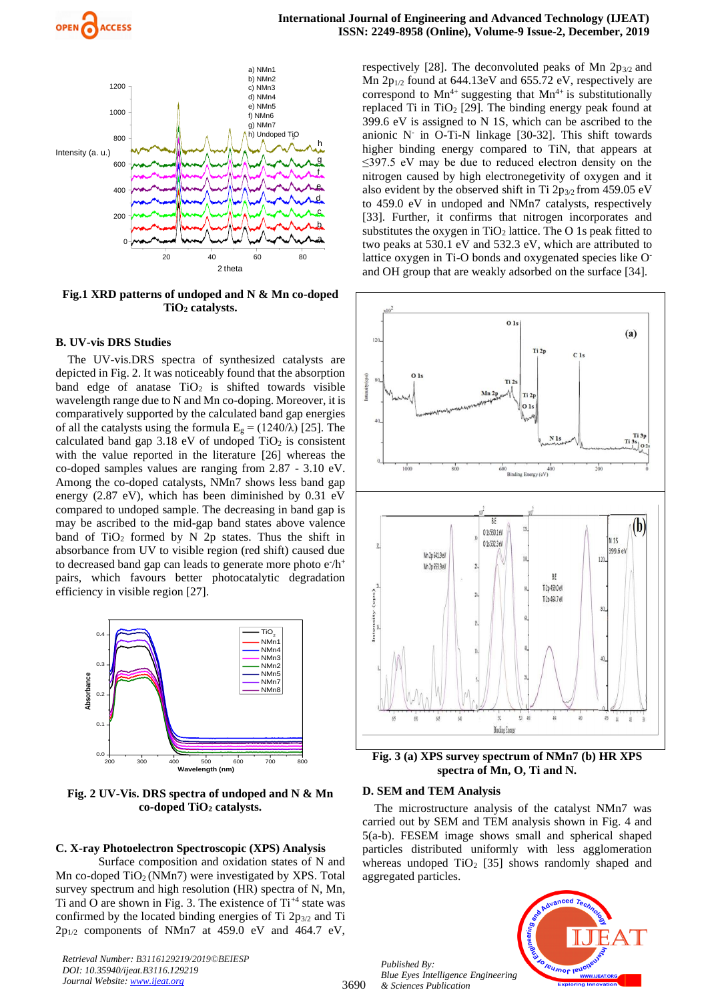

**Fig.1 XRD patterns of undoped and N & Mn co-doped TiO<sup>2</sup> catalysts.**

#### **B. UV-vis DRS Studies**

The UV-vis.DRS spectra of synthesized catalysts are depicted in Fig. 2. It was noticeably found that the absorption band edge of anatase  $TiO<sub>2</sub>$  is shifted towards visible wavelength range due to N and Mn co-doping. Moreover, it is comparatively supported by the calculated band gap energies of all the catalysts using the formula  $E<sub>g</sub> = (1240/\lambda)$  [25]. The calculated band gap  $3.18$  eV of undoped TiO<sub>2</sub> is consistent with the value reported in the literature [26] whereas the co-doped samples values are ranging from 2.87 - 3.10 eV. Among the co-doped catalysts, NMn7 shows less band gap energy (2.87 eV), which has been diminished by 0.31 eV compared to undoped sample. The decreasing in band gap is may be ascribed to the mid-gap band states above valence band of TiO<sub>2</sub> formed by N 2p states. Thus the shift in absorbance from UV to visible region (red shift) caused due to decreased band gap can leads to generate more photo  $e^{\lambda}h^+$ pairs, which favours better photocatalytic degradation efficiency in visible region [27].



**Fig. 2 UV-Vis. DRS spectra of undoped and N & Mn co-doped TiO<sup>2</sup> catalysts.**

#### **C. X-ray Photoelectron Spectroscopic (XPS) Analysis**

Surface composition and oxidation states of N and Mn co-doped  $TiO<sub>2</sub>$  (NMn7) were investigated by XPS. Total survey spectrum and high resolution (HR) spectra of N, Mn, Ti and O are shown in Fig. 3. The existence of  $Ti^{+4}$  state was confirmed by the located binding energies of Ti  $2p_{3/2}$  and Ti  $2p_{1/2}$  components of NMn7 at 459.0 eV and 464.7 eV,

*Retrieval Number: B3116129219/2019©BEIESP DOI: 10.35940/ijeat.B3116.129219 Journal Website[: www.ijeat.org](http://www.ijeat.org/)*

respectively [28]. The deconvoluted peaks of Mn  $2p_{3/2}$  and Mn 2p1/2 found at 644.13eV and 655.72 eV, respectively are correspond to  $Mn^{4+}$  suggesting that  $Mn^{4+}$  is substitutionally replaced Ti in TiO<sub>2</sub> [29]. The binding energy peak found at 399.6 eV is assigned to N 1S, which can be ascribed to the anionic N-in O-Ti-N linkage [30-32]. This shift towards higher binding energy compared to TiN, that appears at ≤397.5 eV may be due to reduced electron density on the nitrogen caused by high electronegetivity of oxygen and it also evident by the observed shift in Ti  $2p_{3/2}$  from 459.05 eV to 459.0 eV in undoped and NMn7 catalysts, respectively [33]. Further, it confirms that nitrogen incorporates and substitutes the oxygen in  $TiO<sub>2</sub>$  lattice. The O 1s peak fitted to two peaks at 530.1 eV and 532.3 eV, which are attributed to lattice oxygen in Ti-O bonds and oxygenated species like Oand OH group that are weakly adsorbed on the surface [34].



**Fig. 3 (a) XPS survey spectrum of NMn7 (b) HR XPS spectra of Mn, O, Ti and N.**

#### **D. SEM and TEM Analysis**

The microstructure analysis of the catalyst NMn7 was carried out by SEM and TEM analysis shown in Fig. 4 and 5(a-b). FESEM image shows small and spherical shaped particles distributed uniformly with less agglomeration whereas undoped  $TiO<sub>2</sub>$  [35] shows randomly shaped and aggregated particles.

*Published By: Blue Eyes Intelligence Engineering & Sciences Publication* 

3690

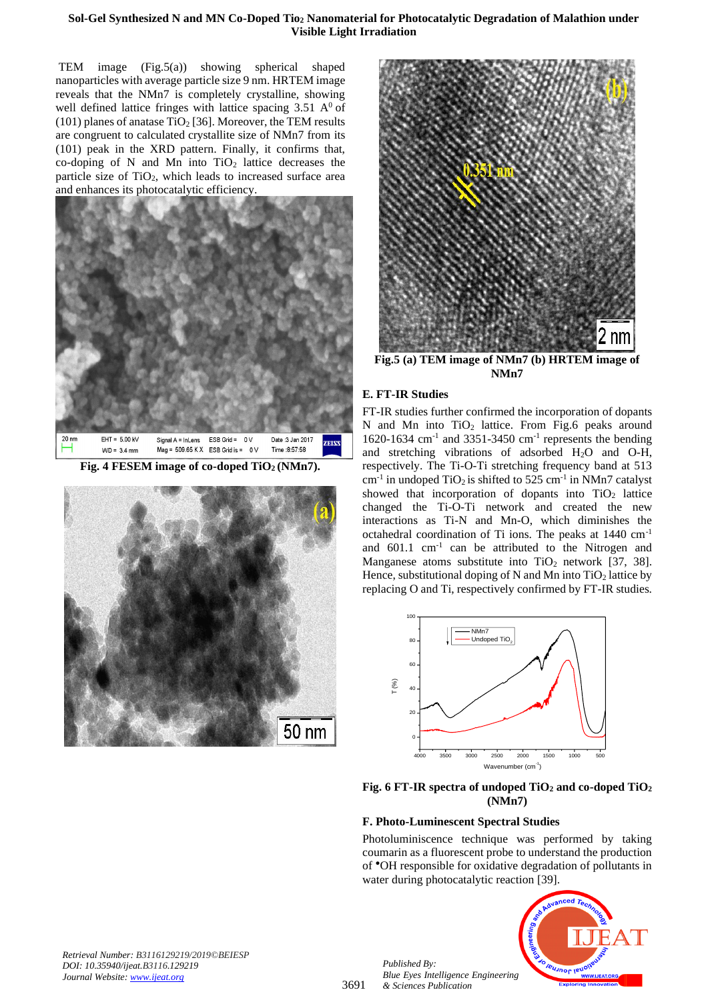# **Sol-Gel Synthesized N and MN Co-Doped Tio<sup>2</sup> Nanomaterial for Photocatalytic Degradation of Malathion under Visible Light Irradiation**

TEM image (Fig.5(a)) showing spherical shaped nanoparticles with average particle size 9 nm. HRTEM image reveals that the NMn7 is completely crystalline, showing well defined lattice fringes with lattice spacing  $3.51 \text{ A}^0$  of (101) planes of anatase TiO<sub>2</sub> [36]. Moreover, the TEM results are congruent to calculated crystallite size of NMn7 from its (101) peak in the XRD pattern. Finally, it confirms that, co-doping of N and Mn into  $TiO<sub>2</sub>$  lattice decreases the particle size of TiO2, which leads to increased surface area and enhances its photocatalytic efficiency.



**Fig. 4 FESEM image of co-doped TiO2 (NMn7).**





**Fig.5 (a) TEM image of NMn7 (b) HRTEM image of NMn7**

# **E. FT-IR Studies**

FT-IR studies further confirmed the incorporation of dopants N and Mn into  $TiO<sub>2</sub>$  lattice. From Fig.6 peaks around 1620-1634 cm-1 and 3351-3450 cm-1 represents the bending and stretching vibrations of adsorbed H2O and O-H, respectively. The Ti-O-Ti stretching frequency band at 513  $cm<sup>-1</sup>$  in undoped TiO<sub>2</sub> is shifted to 525 cm<sup>-1</sup> in NMn7 catalyst showed that incorporation of dopants into  $TiO<sub>2</sub>$  lattice changed the Ti-O-Ti network and created the new interactions as Ti-N and Mn-O, which diminishes the octahedral coordination of Ti ions. The peaks at 1440 cm-1 and  $601.1 \text{ cm}^{-1}$  can be attributed to the Nitrogen and Manganese atoms substitute into  $TiO<sub>2</sub>$  network [37, 38]. Hence, substitutional doping of N and Mn into  $TiO<sub>2</sub>$  lattice by replacing O and Ti, respectively confirmed by FT-IR studies.



**Fig. 6 FT-IR spectra of undoped TiO<sup>2</sup> and co-doped TiO<sup>2</sup> (NMn7)**

# **F. Photo-Luminescent Spectral Studies**

Photoluminiscence technique was performed by taking coumarin as a fluorescent probe to understand the production of ●OH responsible for oxidative degradation of pollutants in water during photocatalytic reaction [39].



*Retrieval Number: B3116129219/2019©BEIESP DOI: 10.35940/ijeat.B3116.129219 Journal Website[: www.ijeat.org](http://www.ijeat.org/)*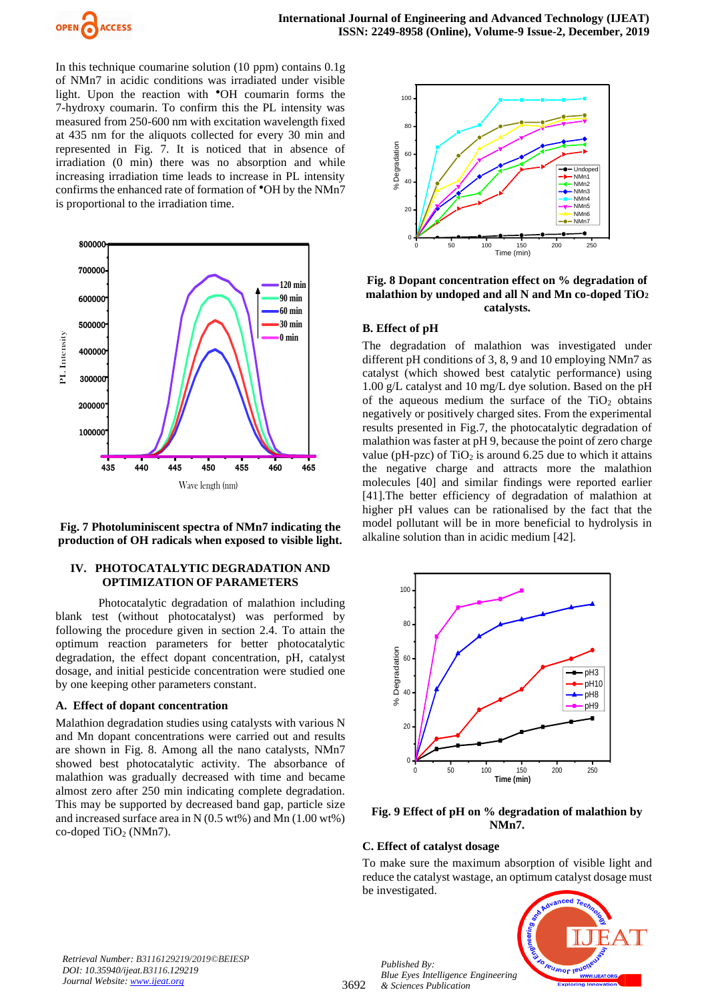

In this technique coumarine solution (10 ppm) contains 0.1g of NMn7 in acidic conditions was irradiated under visible light. Upon the reaction with <sup>•</sup>OH coumarin forms the 7-hydroxy coumarin. To confirm this the PL intensity was measured from 250-600 nm with excitation wavelength fixed at 435 nm for the aliquots collected for every 30 min and represented in Fig. 7. It is noticed that in absence of irradiation (0 min) there was no absorption and while increasing irradiation time leads to increase in PL intensity confirms the enhanced rate of formation of ●OH by the NMn7 is proportional to the irradiation time.



**Fig. 7 Photoluminiscent spectra of NMn7 indicating the production of OH radicals when exposed to visible light.**

## **IV. PHOTOCATALYTIC DEGRADATION AND OPTIMIZATION OF PARAMETERS**

Photocatalytic degradation of malathion including blank test (without photocatalyst) was performed by following the procedure given in section 2.4. To attain the optimum reaction parameters for better photocatalytic degradation, the effect dopant concentration, pH, catalyst dosage, and initial pesticide concentration were studied one by one keeping other parameters constant.

## **A. Effect of dopant concentration**

Malathion degradation studies using catalysts with various N and Mn dopant concentrations were carried out and results are shown in Fig. 8. Among all the nano catalysts, NMn7 showed best photocatalytic activity. The absorbance of malathion was gradually decreased with time and became almost zero after 250 min indicating complete degradation. This may be supported by decreased band gap, particle size and increased surface area in N (0.5 wt%) and Mn (1.00 wt%) co-doped  $TiO<sub>2</sub>$  (NMn7).



**Fig. 8 Dopant concentration effect on % degradation of malathion by undoped and all N and Mn co-doped TiO<sup>2</sup> catalysts.**

## **B. Effect of pH**

The degradation of malathion was investigated under different pH conditions of 3, 8, 9 and 10 employing NMn7 as catalyst (which showed best catalytic performance) using 1.00 g/L catalyst and 10 mg/L dye solution. Based on the pH of the aqueous medium the surface of the  $TiO<sub>2</sub>$  obtains negatively or positively charged sites. From the experimental results presented in Fig.7, the photocatalytic degradation of malathion was faster at pH 9, because the point of zero charge value (pH-pzc) of  $TiO<sub>2</sub>$  is around 6.25 due to which it attains the negative charge and attracts more the malathion molecules [40] and similar findings were reported earlier [41].The better efficiency of degradation of malathion at higher pH values can be rationalised by the fact that the model pollutant will be in more beneficial to hydrolysis in alkaline solution than in acidic medium [42].



**Fig. 9 Effect of pH on % degradation of malathion by NMn7.**

## **C. Effect of catalyst dosage**

To make sure the maximum absorption of visible light and reduce the catalyst wastage, an optimum catalyst dosage must be investigated.



*Retrieval Number: B3116129219/2019©BEIESP DOI: 10.35940/ijeat.B3116.129219 Journal Website[: www.ijeat.org](http://www.ijeat.org/)*

3692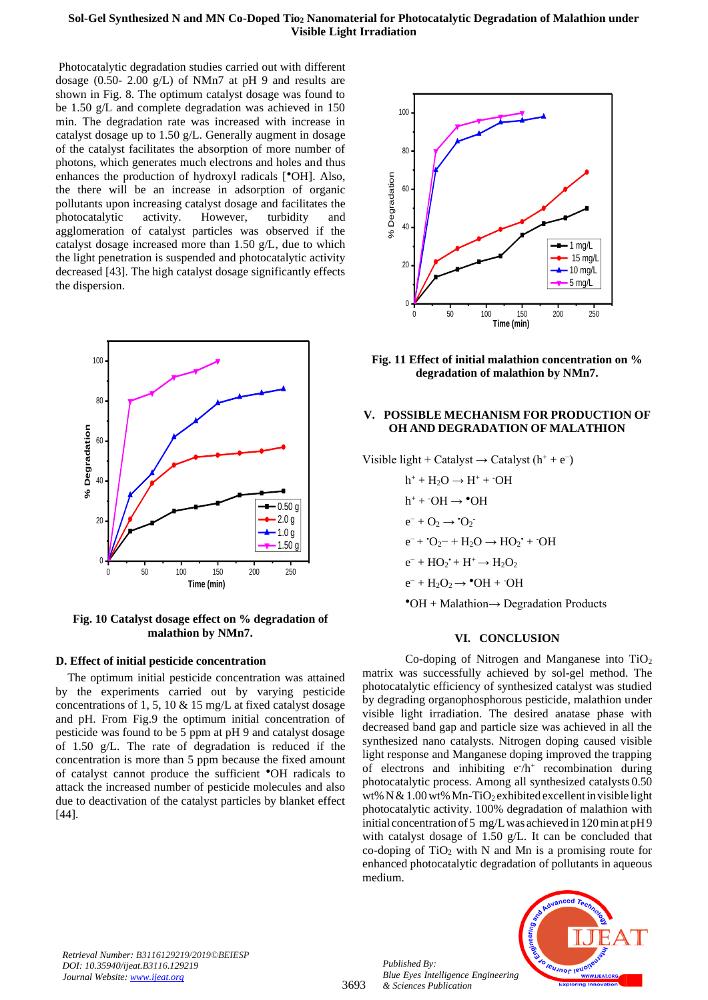## **Sol-Gel Synthesized N and MN Co-Doped Tio<sup>2</sup> Nanomaterial for Photocatalytic Degradation of Malathion under Visible Light Irradiation**

Photocatalytic degradation studies carried out with different dosage (0.50- 2.00 g/L) of NMn7 at pH 9 and results are shown in Fig. 8. The optimum catalyst dosage was found to be 1.50 g/L and complete degradation was achieved in 150 min. The degradation rate was increased with increase in catalyst dosage up to 1.50 g/L. Generally augment in dosage of the catalyst facilitates the absorption of more number of photons, which generates much electrons and holes and thus enhances the production of hydroxyl radicals [<sup> $^{\bullet}$ </sup>OH]. Also, the there will be an increase in adsorption of organic pollutants upon increasing catalyst dosage and facilitates the photocatalytic activity. However, turbidity and agglomeration of catalyst particles was observed if the catalyst dosage increased more than 1.50 g/L, due to which the light penetration is suspended and photocatalytic activity decreased [43]. The high catalyst dosage significantly effects the dispersion.



**Fig. 10 Catalyst dosage effect on % degradation of malathion by NMn7.**

## **D. Effect of initial pesticide concentration**

The optimum initial pesticide concentration was attained by the experiments carried out by varying pesticide concentrations of 1, 5, 10 & 15 mg/L at fixed catalyst dosage and pH. From Fig.9 the optimum initial concentration of pesticide was found to be 5 ppm at pH 9 and catalyst dosage of 1.50 g/L. The rate of degradation is reduced if the concentration is more than 5 ppm because the fixed amount of catalyst cannot produce the sufficient ●OH radicals to attack the increased number of pesticide molecules and also due to deactivation of the catalyst particles by blanket effect [44].



**Fig. 11 Effect of initial malathion concentration on % degradation of malathion by NMn7.**

# **V. POSSIBLE MECHANISM FOR PRODUCTION OF OH AND DEGRADATION OF MALATHION**

Visible light + Catalyst  $\rightarrow$  Catalyst (h<sup>+</sup> + e<sup>-</sup>)

 $h^+ + H_2O \rightarrow H^+ + \overline{O}H$  $h^+$  +  $\cdot$ OH  $\rightarrow \bullet$ OH  $e^- + O_2 \rightarrow O_2^$  $e^- + O_2^- + H_2O \rightarrow HO_2$ <sup>+</sup> + OH  $e^- + HO_2^+ + H^+ \rightarrow H_2O_2$  $e^- + H_2O_2 \rightarrow \text{^oOH} + \text{^oOH}$  $\text{OH} + \text{Malathion} \rightarrow \text{Degradation Products}$ 

## **VI. CONCLUSION**

Co-doping of Nitrogen and Manganese into  $TiO<sub>2</sub>$ matrix was successfully achieved by sol-gel method. The photocatalytic efficiency of synthesized catalyst was studied by degrading organophosphorous pesticide, malathion under visible light irradiation. The desired anatase phase with decreased band gap and particle size was achieved in all the synthesized nano catalysts. Nitrogen doping caused visible light response and Manganese doping improved the trapping of electrons and inhibiting  $e^{-}/h^{+}$  recombination during photocatalytic process. Among all synthesized catalysts 0.50 wt% N & 1.00 wt% Mn-TiO<sub>2</sub> exhibited excellent in visible light photocatalytic activity. 100% degradation of malathion with initial concentration of5 mg/Lwas achieved in 120min at pH9 with catalyst dosage of 1.50 g/L. It can be concluded that co-doping of  $TiO<sub>2</sub>$  with N and Mn is a promising route for enhanced photocatalytic degradation of pollutants in aqueous medium.

*Retrieval Number: B3116129219/2019©BEIESP DOI: 10.35940/ijeat.B3116.129219 Journal Website[: www.ijeat.org](http://www.ijeat.org/)*

*Published By: Blue Eyes Intelligence Engineering & Sciences Publication* 

3693